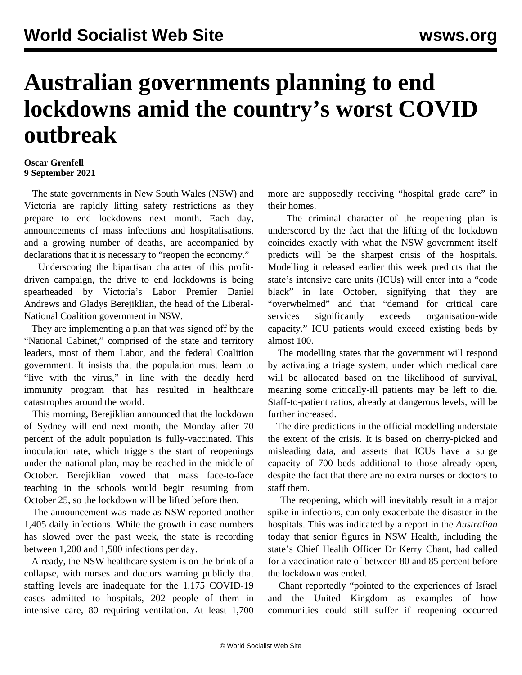## **Australian governments planning to end lockdowns amid the country's worst COVID outbreak**

## **Oscar Grenfell 9 September 2021**

 The state governments in New South Wales (NSW) and Victoria are rapidly lifting safety restrictions as they prepare to end lockdowns next month. Each day, announcements of mass infections and hospitalisations, and a growing number of deaths, are accompanied by declarations that it is necessary to "reopen the economy."

 Underscoring the bipartisan character of this profitdriven campaign, the drive to end lockdowns is being spearheaded by Victoria's Labor Premier Daniel Andrews and Gladys Berejiklian, the head of the Liberal-National Coalition government in NSW.

 They are implementing a plan that was signed off by the "National Cabinet," comprised of the state and territory leaders, most of them Labor, and the federal Coalition government. It insists that the population must learn to "live with the virus," in line with the deadly herd immunity program that has resulted in healthcare catastrophes around the world.

 This morning, Berejiklian announced that the lockdown of Sydney will end next month, the Monday after 70 percent of the adult population is fully-vaccinated. This inoculation rate, which triggers the start of reopenings under the national plan, may be reached in the middle of October. Berejiklian vowed that mass face-to-face teaching in the schools would begin resuming from October 25, so the lockdown will be lifted before then.

 The announcement was made as NSW reported another 1,405 daily infections. While the growth in case numbers has slowed over the past week, the state is recording between 1,200 and 1,500 infections per day.

 Already, the NSW healthcare system is on the brink of a collapse, with nurses and doctors warning publicly that staffing levels are inadequate for the 1,175 COVID-19 cases admitted to hospitals, 202 people of them in intensive care, 80 requiring ventilation. At least 1,700 more are supposedly receiving "hospital grade care" in their homes.

 The criminal character of the reopening plan is underscored by the fact that the lifting of the lockdown coincides exactly with what the NSW government itself predicts will be the sharpest crisis of the hospitals. Modelling it released earlier this week predicts that the state's intensive care units (ICUs) will enter into a "code black" in late October, signifying that they are "overwhelmed" and that "demand for critical care services significantly exceeds organisation-wide capacity." ICU patients would exceed existing beds by almost 100.

 The modelling states that the government will respond by activating a triage system, under which medical care will be allocated based on the likelihood of survival, meaning some critically-ill patients may be left to die. Staff-to-patient ratios, already at dangerous levels, will be further increased.

 The dire predictions in the official modelling understate the extent of the crisis. It is based on cherry-picked and misleading data, and asserts that ICUs have a surge capacity of 700 beds additional to those already open, despite the fact that there are no extra nurses or doctors to staff them.

 The reopening, which will inevitably result in a major spike in infections, can only exacerbate the disaster in the hospitals. This was indicated by a report in the *Australian* today that senior figures in NSW Health, including the state's Chief Health Officer Dr Kerry Chant, had called for a vaccination rate of between 80 and 85 percent before the lockdown was ended.

 Chant reportedly "pointed to the experiences of Israel and the United Kingdom as examples of how communities could still suffer if reopening occurred